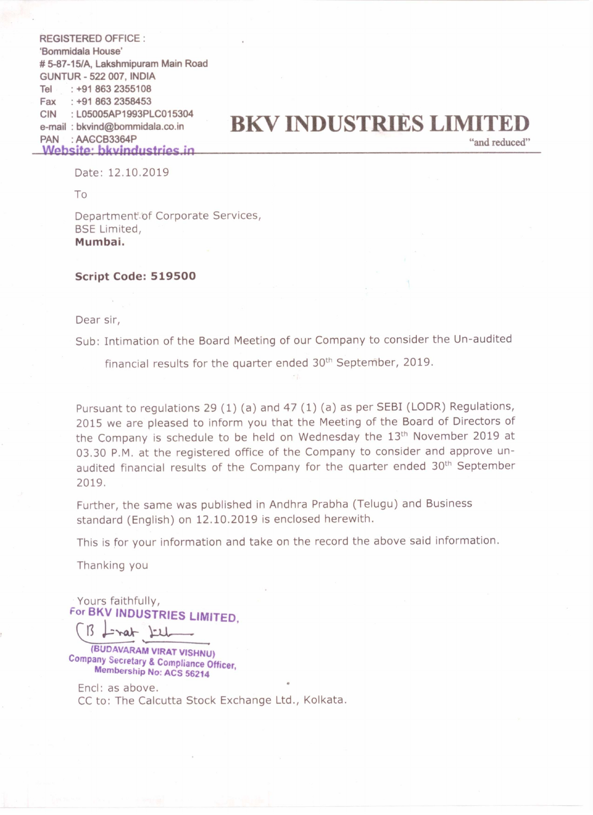REGISTERED OFFICE : 'Bommidala House' # 5—87-15/A, Lakshmipuram Main Road GUNTUR - 522 007, INDIA Tel Fax CIN PAN : AAGCB3364P : +91 863 2355108 : +91 863 2358453 ' L05005AP1993PLC015304 : MGCB3364P "and reduced" in

## e-mail : bkvind@bommidala.co.in **BKV INDUSTRIES LIMITED**<br>PAN : AAGCB3364P "and reduced"

Date: 12.10.2019

To

Department<sup>of</sup> Corporate Services, BSE Limited, Mumbai.

## Script Code: 519500

Dear sir,

Sub: Intimation of the Board Meeting of our Company to consider the Un-audited

financial results for the quarter ended 30<sup>th</sup> September, 2019.

Pursuant to regulations 29 (1) (a) and 47 (1) (a) as per SEBI (LODR) Regulations, <sup>2015</sup> we are pleased to inform you that the Meeting of the Board of Directors of the Company is schedule to be held on Wednesday the 13<sup>th</sup> November 2019 at 03.30 P.M. at the registered office of the Company to consider and approve unaudited financial results of the Company for the quarter ended 30<sup>th</sup> September 2019.

Further, the same was published in Andhra Prabha (Telugu) and Business standard (English) on 12.10.2019 is enclosed herewith.

This is for your information and take on the record the above said information.

Thanking you

Yours faithfully, For BKV INDUSTRIES LIMITED,

 $\bigcup_{\mathcal{A}}$ 3 **L-rat LLL** 

Company Secretary & Compliance Officer.<br>Membership No: ACS 56214

Encl: as above. CC to: The Calcutta Stock Exchange Ltd., Kolkata. o